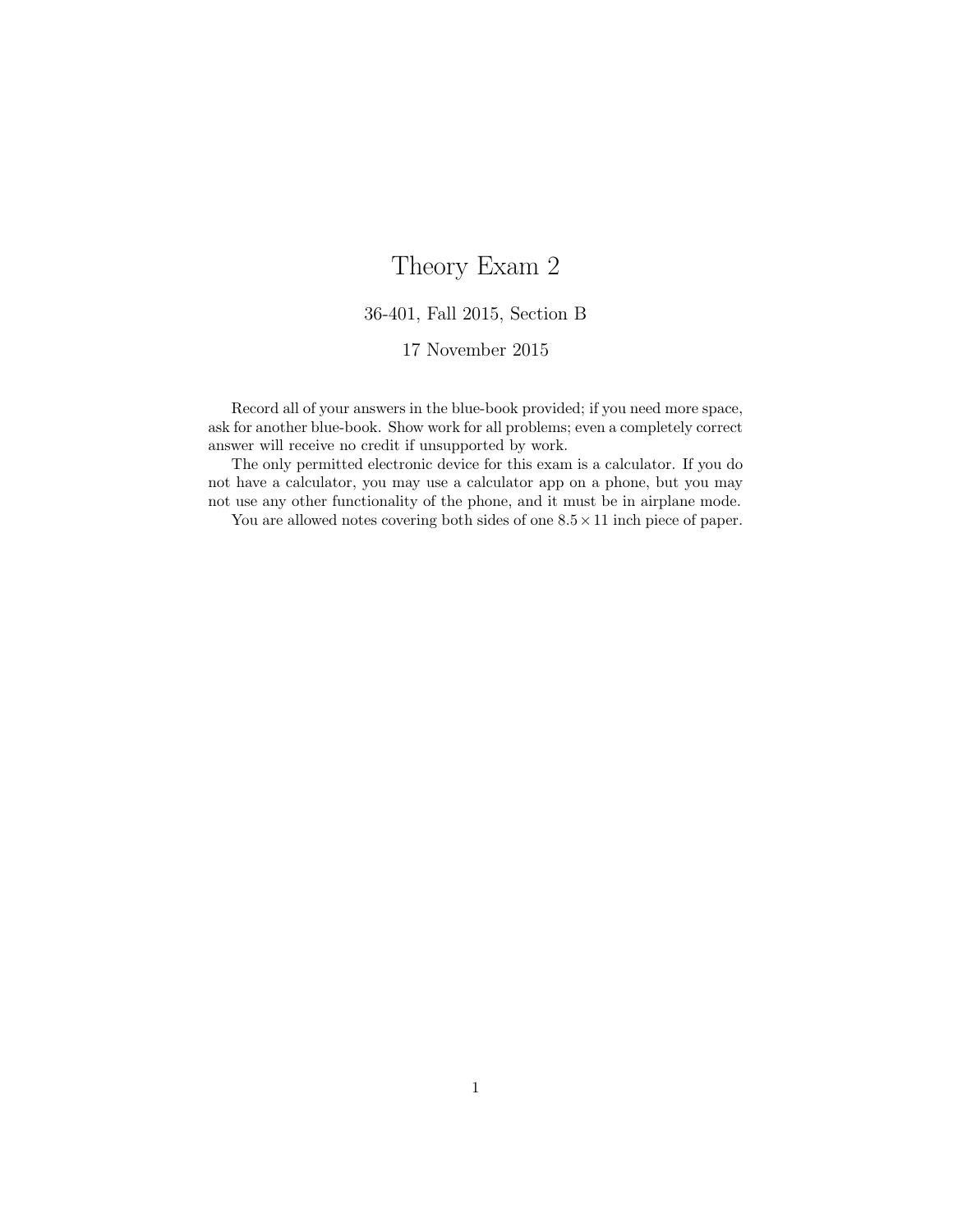## Theory Exam 2

## 36-401, Fall 2015, Section B

## 17 November 2015

Record all of your answers in the blue-book provided; if you need more space, ask for another blue-book. Show work for all problems; even a completely correct answer will receive no credit if unsupported by work.

The only permitted electronic device for this exam is a calculator. If you do not have a calculator, you may use a calculator app on a phone, but you may not use any other functionality of the phone, and it must be in airplane mode.

You are allowed notes covering both sides of one  $8.5 \times 11$  inch piece of paper.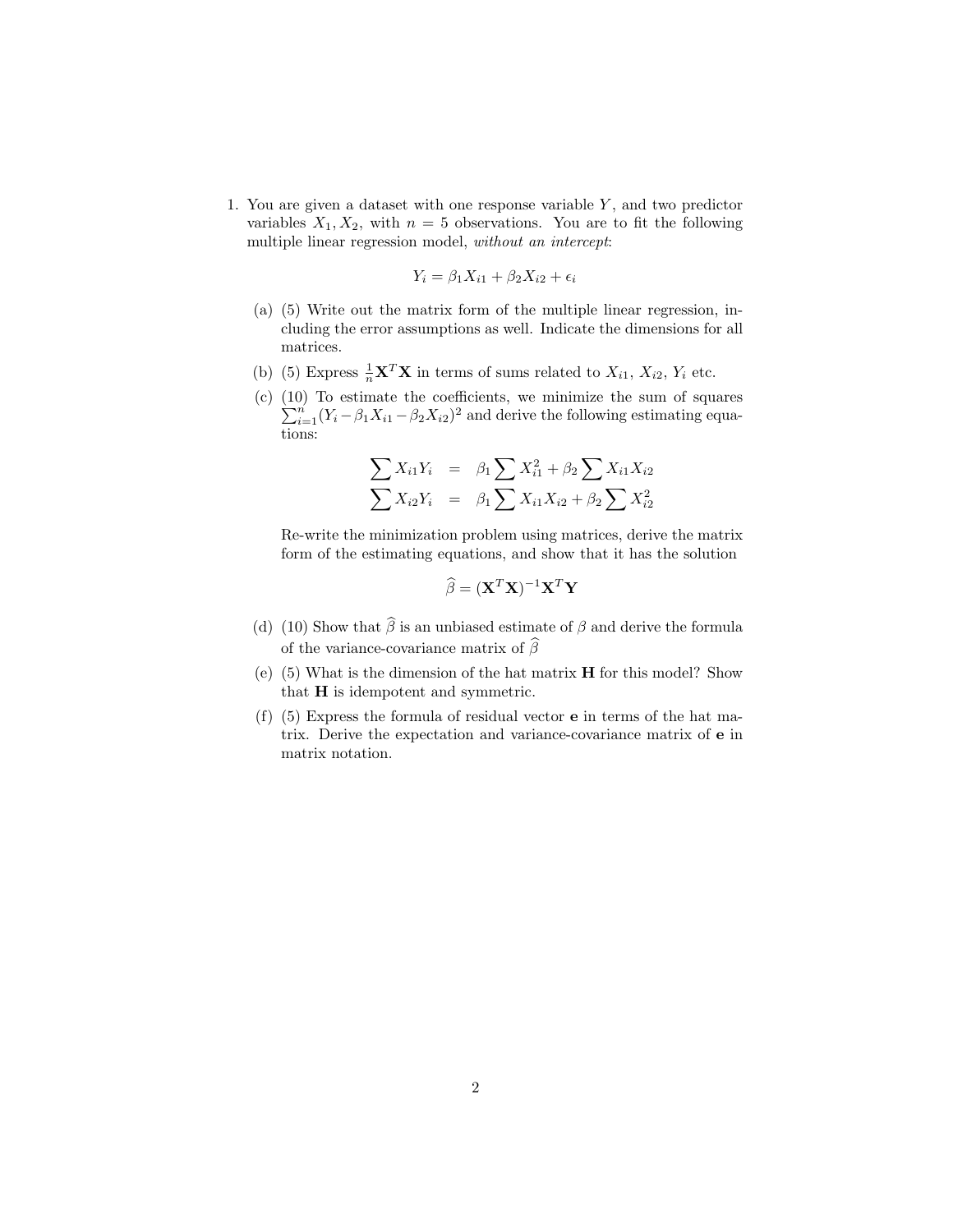1. You are given a dataset with one response variable  $Y$ , and two predictor variables  $X_1, X_2$ , with  $n = 5$  observations. You are to fit the following multiple linear regression model, without an intercept:

$$
Y_i = \beta_1 X_{i1} + \beta_2 X_{i2} + \epsilon_i
$$

- (a) (5) Write out the matrix form of the multiple linear regression, including the error assumptions as well. Indicate the dimensions for all matrices.
- (b) (5) Express  $\frac{1}{n}\mathbf{X}^T\mathbf{X}$  in terms of sums related to  $X_{i1}$ ,  $X_{i2}$ ,  $Y_i$  etc.
- (c) (10) To estimate the coefficients, we minimize the sum of squares  $\sum_{i=1}^{n} (Y_i - \beta_1 X_{i1} - \beta_2 X_{i2})^2$  and derive the following estimating equations:

$$
\sum X_{i1} Y_i = \beta_1 \sum X_{i1}^2 + \beta_2 \sum X_{i1} X_{i2}
$$
  

$$
\sum X_{i2} Y_i = \beta_1 \sum X_{i1} X_{i2} + \beta_2 \sum X_{i2}^2
$$

Re-write the minimization problem using matrices, derive the matrix form of the estimating equations, and show that it has the solution

$$
\widehat{\beta} = (\mathbf{X}^T \mathbf{X})^{-1} \mathbf{X}^T \mathbf{Y}
$$

- (d) (10) Show that  $\hat{\beta}$  is an unbiased estimate of  $\beta$  and derive the formula of the variance-covariance matrix of  $\widehat{\beta}$
- (e) (5) What is the dimension of the hat matrix H for this model? Show that H is idempotent and symmetric.
- (f) (5) Express the formula of residual vector e in terms of the hat matrix. Derive the expectation and variance-covariance matrix of e in matrix notation.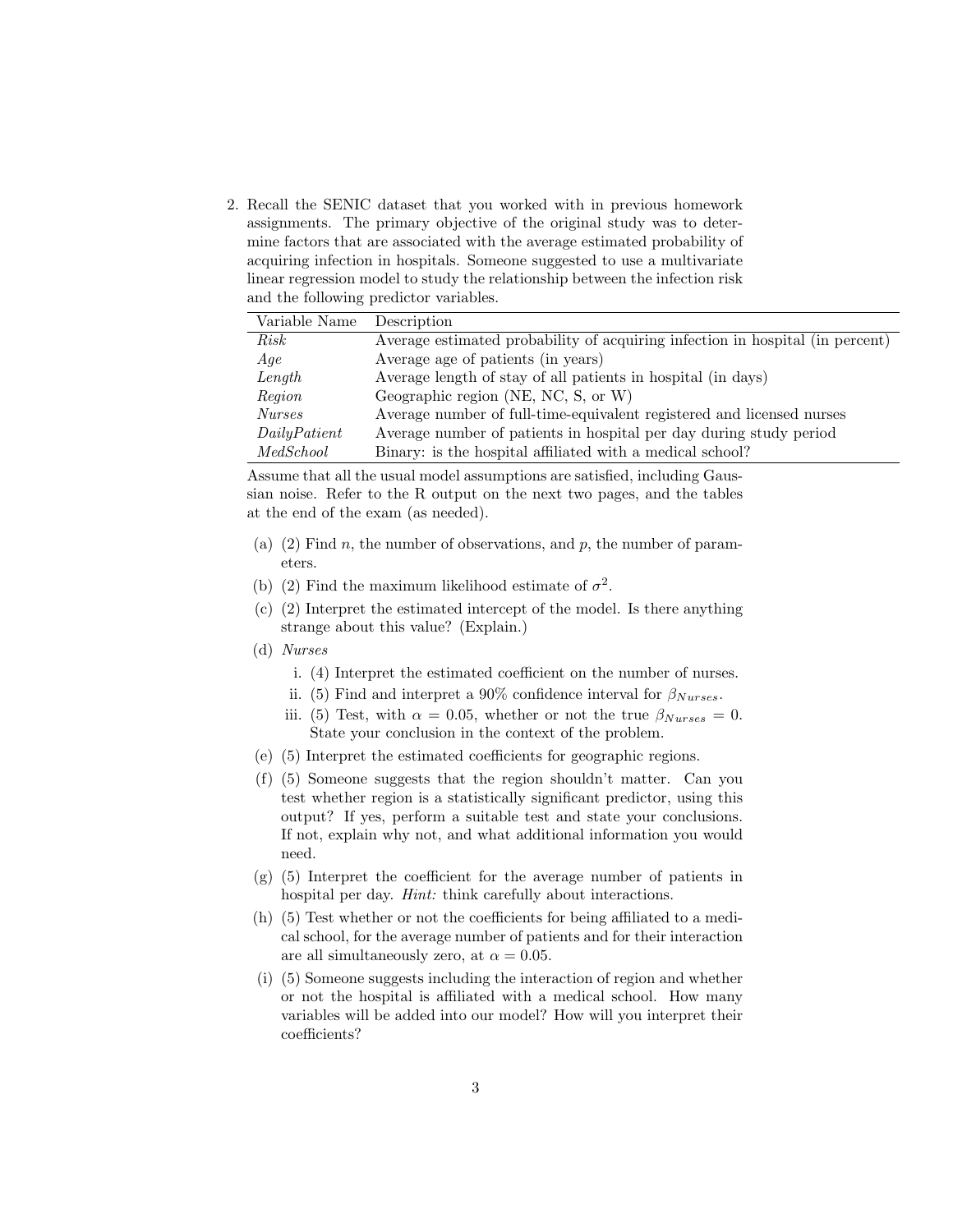2. Recall the SENIC dataset that you worked with in previous homework assignments. The primary objective of the original study was to determine factors that are associated with the average estimated probability of acquiring infection in hospitals. Someone suggested to use a multivariate linear regression model to study the relationship between the infection risk and the following predictor variables.

| Variable Name | Description                                                                   |
|---------------|-------------------------------------------------------------------------------|
| Risk          | Average estimated probability of acquiring infection in hospital (in percent) |
| Aqe           | Average age of patients (in years)                                            |
| Length        | Average length of stay of all patients in hospital (in days)                  |
| Region        | Geographic region (NE, NC, S, or W)                                           |
| <i>Nurses</i> | Average number of full-time-equivalent registered and licensed nurses         |
| Daily Patient | Average number of patients in hospital per day during study period            |
| MedSchool     | Binary: is the hospital affiliated with a medical school?                     |

Assume that all the usual model assumptions are satisfied, including Gaussian noise. Refer to the R output on the next two pages, and the tables at the end of the exam (as needed).

- (a) (2) Find n, the number of observations, and p, the number of parameters.
- (b) (2) Find the maximum likelihood estimate of  $\sigma^2$ .
- (c) (2) Interpret the estimated intercept of the model. Is there anything strange about this value? (Explain.)
- (d) Nurses
	- i. (4) Interpret the estimated coefficient on the number of nurses.
	- ii. (5) Find and interpret a 90% confidence interval for  $\beta_{Nurses}$ .
	- iii. (5) Test, with  $\alpha = 0.05$ , whether or not the true  $\beta_{Nurses} = 0$ . State your conclusion in the context of the problem.
- (e) (5) Interpret the estimated coefficients for geographic regions.
- (f) (5) Someone suggests that the region shouldn't matter. Can you test whether region is a statistically significant predictor, using this output? If yes, perform a suitable test and state your conclusions. If not, explain why not, and what additional information you would need.
- (g) (5) Interpret the coefficient for the average number of patients in hospital per day. Hint: think carefully about interactions.
- (h) (5) Test whether or not the coefficients for being affiliated to a medical school, for the average number of patients and for their interaction are all simultaneously zero, at  $\alpha = 0.05$ .
- (i) (5) Someone suggests including the interaction of region and whether or not the hospital is affiliated with a medical school. How many variables will be added into our model? How will you interpret their coefficients?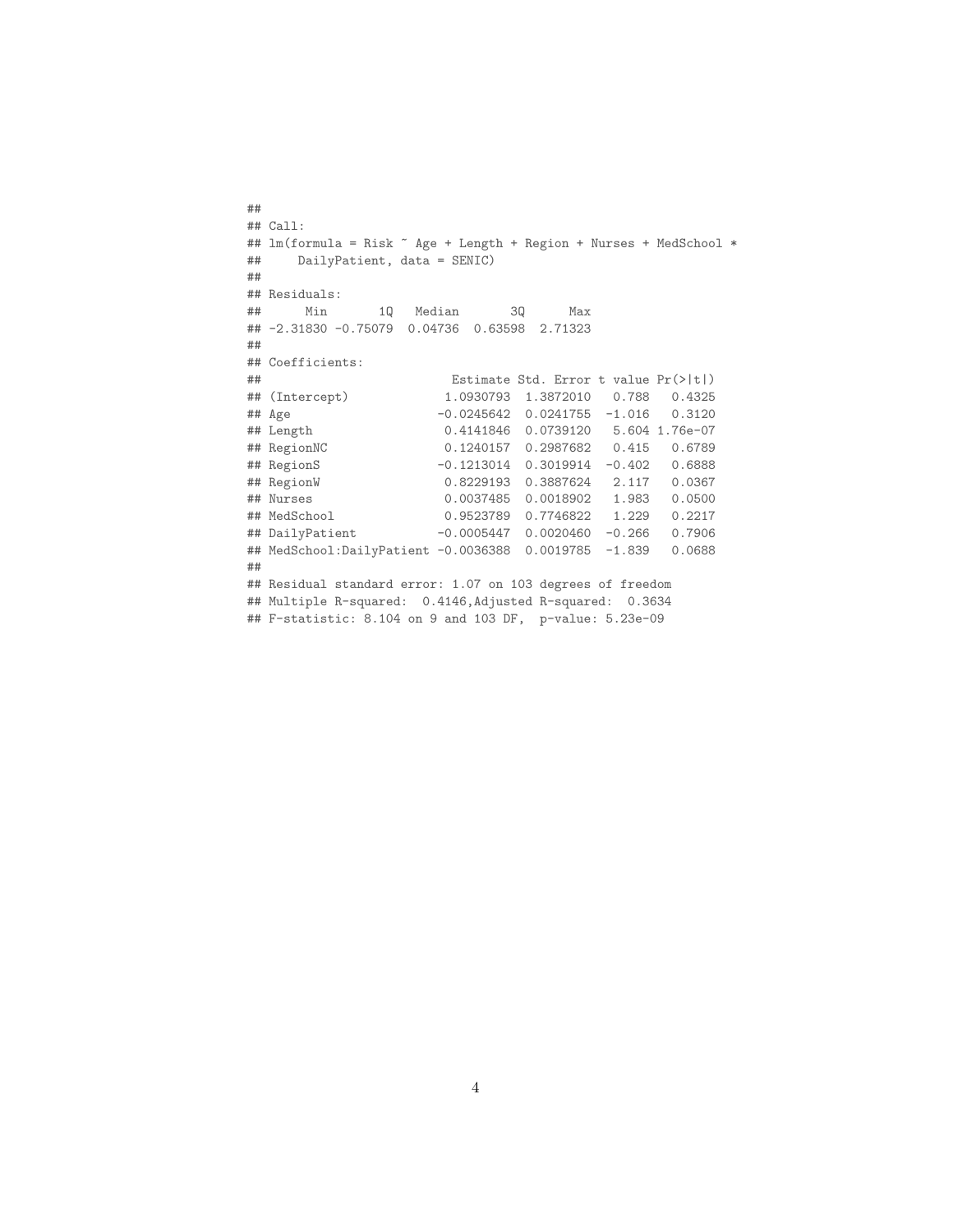```
##
## Call:
## lm(formula = Risk ~ Age + Length + Region + Nurses + Med School *## DailyPatient, data = SENIC)
##
## Residuals:
## Min 1Q Median 3Q Max
## -2.31830 -0.75079 0.04736 0.63598 2.71323
##
## Coefficients:
## Estimate Std. Error t value Pr(>|t|)
## (Intercept) 1.0930793 1.3872010 0.788 0.4325
## Age -0.0245642 0.0241755 -1.016 0.3120
## Length 0.4141846 0.0739120 5.604 1.76e-07
## RegionNC 0.1240157 0.2987682 0.415 0.6789
                    -0.1213014 0.3019914 -0.402 0.6888
## RegionW 0.8229193 0.3887624 2.117 0.0367
## Nurses 0.0037485 0.0018902 1.983 0.0500
                    0.9523789  0.7746822  1.229  0.2217
## DailyPatient -0.0005447 0.0020460 -0.266 0.7906
## MedSchool:DailyPatient -0.0036388 0.0019785 -1.839 0.0688
##
## Residual standard error: 1.07 on 103 degrees of freedom
## Multiple R-squared: 0.4146,Adjusted R-squared: 0.3634
## F-statistic: 8.104 on 9 and 103 DF, p-value: 5.23e-09
```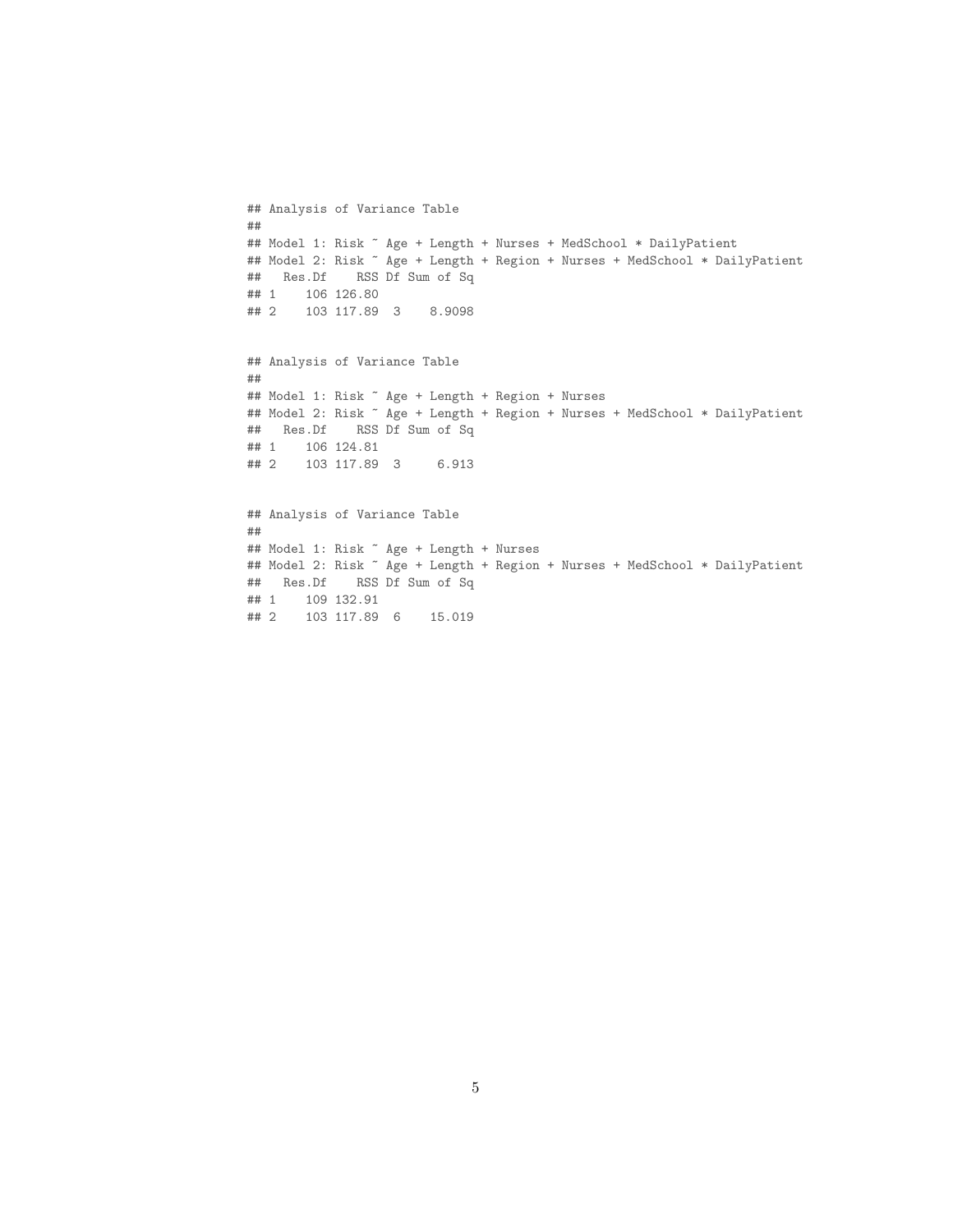```
## Analysis of Variance Table
##
## Model 1: Risk ~ Age + Length + Nurses + MedSchool * DailyPatient
## Model 2: Risk ~ Age + Length + Region + Nurses + MedSchool * DailyPatient
## Res.Df RSS Df Sum of Sq
## 1 106 126.80
## 2 103 117.89 3 8.9098
## Analysis of Variance Table
##
## Model 1: Risk ~ Age + Length + Region + Nurses
## Model 2: Risk ~ Age + Length + Region + Nurses + MedSchool * DailyPatient
## Res.Df RSS Df Sum of Sq
## 1 106 124.81
## 2 103 117.89 3 6.913
## Analysis of Variance Table
##
## Model 1: Risk ~ Age + Length + Nurses
## Model 2: Risk ~ Age + Length + Region + Nurses + MedSchool * DailyPatient
## Res.Df RSS Df Sum of Sq
## 1 109 132.91
```
## 2 103 117.89 6 15.019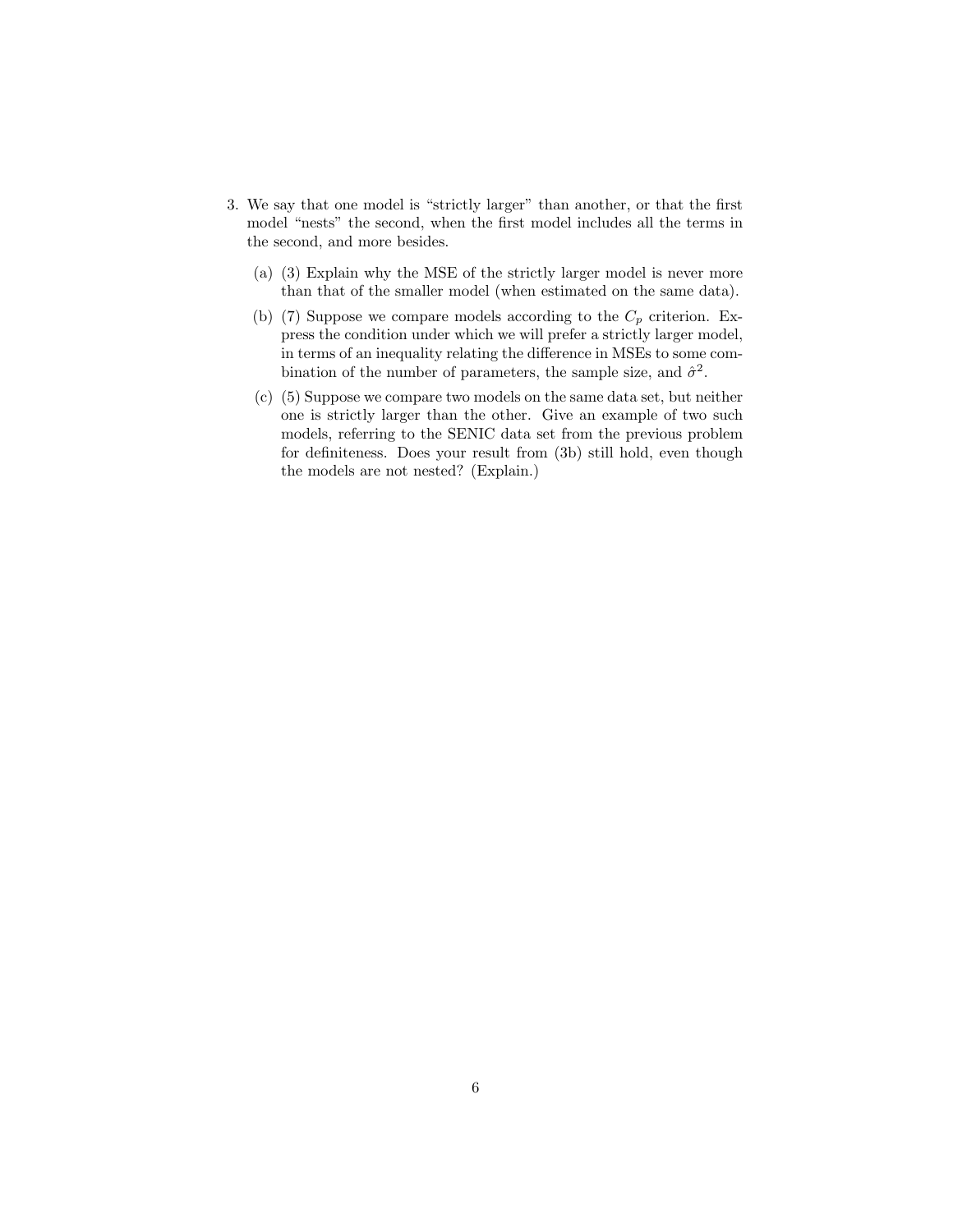- 3. We say that one model is "strictly larger" than another, or that the first model "nests" the second, when the first model includes all the terms in the second, and more besides.
	- (a) (3) Explain why the MSE of the strictly larger model is never more than that of the smaller model (when estimated on the same data).
	- (b) (7) Suppose we compare models according to the  $C_p$  criterion. Express the condition under which we will prefer a strictly larger model, in terms of an inequality relating the difference in MSEs to some combination of the number of parameters, the sample size, and  $\hat{\sigma}^2$ .
	- (c) (5) Suppose we compare two models on the same data set, but neither one is strictly larger than the other. Give an example of two such models, referring to the SENIC data set from the previous problem for definiteness. Does your result from (3b) still hold, even though the models are not nested? (Explain.)